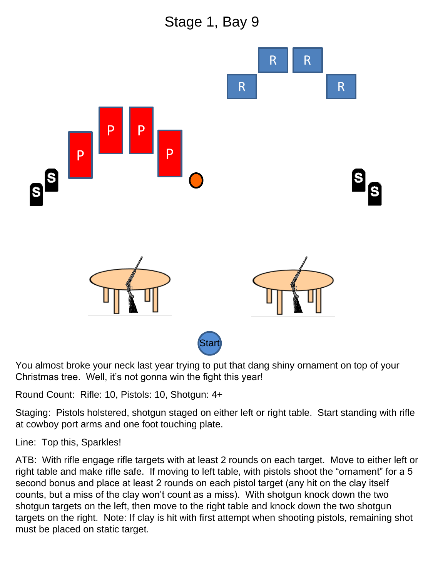Stage 1, Bay 9



You almost broke your neck last year trying to put that dang shiny ornament on top of your Christmas tree. Well, it's not gonna win the fight this year!

Round Count: Rifle: 10, Pistols: 10, Shotgun: 4+

Staging: Pistols holstered, shotgun staged on either left or right table. Start standing with rifle at cowboy port arms and one foot touching plate.

Line: Top this, Sparkles!

ATB: With rifle engage rifle targets with at least 2 rounds on each target. Move to either left or right table and make rifle safe. If moving to left table, with pistols shoot the "ornament" for a 5 second bonus and place at least 2 rounds on each pistol target (any hit on the clay itself counts, but a miss of the clay won't count as a miss). With shotgun knock down the two shotgun targets on the left, then move to the right table and knock down the two shotgun targets on the right. Note: If clay is hit with first attempt when shooting pistols, remaining shot must be placed on static target.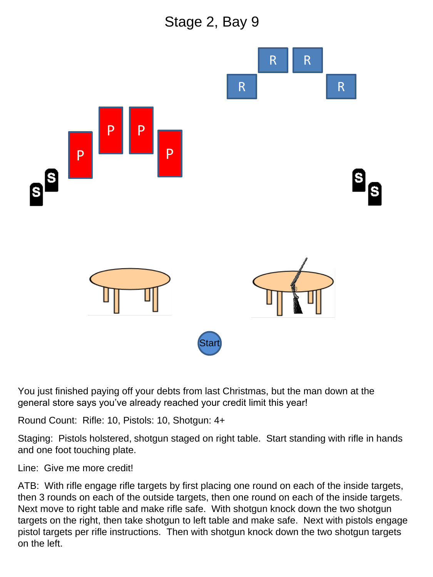



You just finished paying off your debts from last Christmas, but the man down at the general store says you've already reached your credit limit this year!

Round Count: Rifle: 10, Pistols: 10, Shotgun: 4+

Staging: Pistols holstered, shotgun staged on right table. Start standing with rifle in hands and one foot touching plate.

Line: Give me more credit!

ATB: With rifle engage rifle targets by first placing one round on each of the inside targets, then 3 rounds on each of the outside targets, then one round on each of the inside targets. Next move to right table and make rifle safe. With shotgun knock down the two shotgun targets on the right, then take shotgun to left table and make safe. Next with pistols engage pistol targets per rifle instructions. Then with shotgun knock down the two shotgun targets on the left.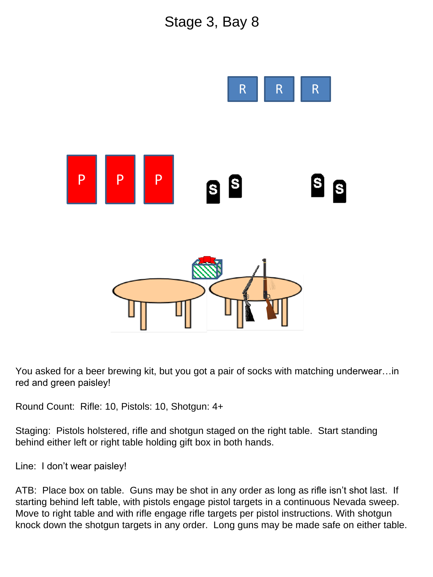## Stage 3, Bay 8



You asked for a beer brewing kit, but you got a pair of socks with matching underwear…in red and green paisley!

Round Count: Rifle: 10, Pistols: 10, Shotgun: 4+

Staging: Pistols holstered, rifle and shotgun staged on the right table. Start standing behind either left or right table holding gift box in both hands.

Line: I don't wear paisley!

ATB: Place box on table. Guns may be shot in any order as long as rifle isn't shot last. If starting behind left table, with pistols engage pistol targets in a continuous Nevada sweep. Move to right table and with rifle engage rifle targets per pistol instructions. With shotgun knock down the shotgun targets in any order. Long guns may be made safe on either table.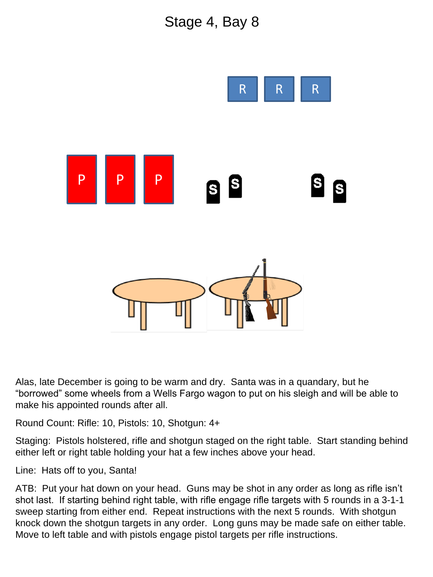## Stage 4, Bay 8



Alas, late December is going to be warm and dry. Santa was in a quandary, but he "borrowed" some wheels from a Wells Fargo wagon to put on his sleigh and will be able to make his appointed rounds after all.

Round Count: Rifle: 10, Pistols: 10, Shotgun: 4+

Staging: Pistols holstered, rifle and shotgun staged on the right table. Start standing behind either left or right table holding your hat a few inches above your head.

Line: Hats off to you, Santa!

ATB: Put your hat down on your head. Guns may be shot in any order as long as rifle isn't shot last. If starting behind right table, with rifle engage rifle targets with 5 rounds in a 3-1-1 sweep starting from either end. Repeat instructions with the next 5 rounds. With shotgun knock down the shotgun targets in any order. Long guns may be made safe on either table. Move to left table and with pistols engage pistol targets per rifle instructions.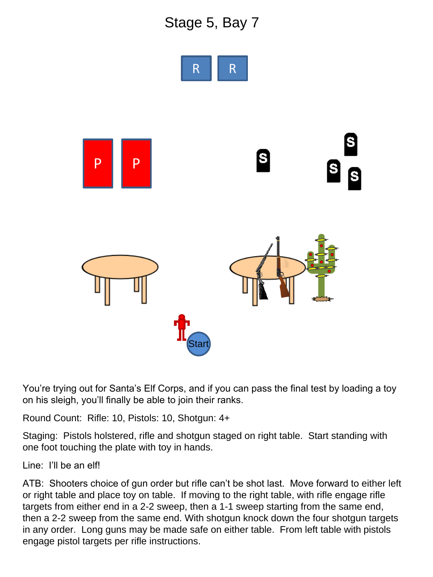## Stage 5, Bay 7



You're trying out for Santa's Elf Corps, and if you can pass the final test by loading a toy on his sleigh, you'll finally be able to join their ranks.

Round Count: Rifle: 10, Pistols: 10, Shotgun: 4+

Staging: Pistols holstered, rifle and shotgun staged on right table. Start standing with one foot touching the plate with toy in hands.

Line: I'll be an elf!

ATB: Shooters choice of gun order but rifle can't be shot last. Move forward to either left or right table and place toy on table. If moving to the right table, with rifle engage rifle targets from either end in a 2-2 sweep, then a 1-1 sweep starting from the same end, then a 2-2 sweep from the same end. With shotgun knock down the four shotgun targets in any order. Long guns may be made safe on either table. From left table with pistols engage pistol targets per rifle instructions.